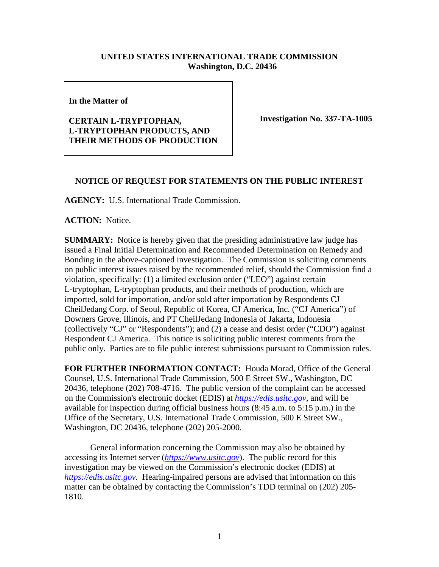## **UNITED STATES INTERNATIONAL TRADE COMMISSION Washington, D.C. 20436**

**In the Matter of**

## **CERTAIN L-TRYPTOPHAN, L-TRYPTOPHAN PRODUCTS, AND THEIR METHODS OF PRODUCTION**

**Investigation No. 337-TA-1005**

## **NOTICE OF REQUEST FOR STATEMENTS ON THE PUBLIC INTEREST**

**AGENCY:** U.S. International Trade Commission.

**ACTION:** Notice.

**SUMMARY:** Notice is hereby given that the presiding administrative law judge has issued a Final Initial Determination and Recommended Determination on Remedy and Bonding in the above-captioned investigation. The Commission is soliciting comments on public interest issues raised by the recommended relief, should the Commission find a violation, specifically: (1) a limited exclusion order ("LEO") against certain L-tryptophan, L-tryptophan products, and their methods of production, which are imported, sold for importation, and/or sold after importation by Respondents CJ CheilJedang Corp. of Seoul, Republic of Korea, CJ America, Inc. ("CJ America") of Downers Grove, Illinois, and PT CheilJedang Indonesia of Jakarta, Indonesia (collectively "CJ" or "Respondents"); and (2) a cease and desist order ("CDO") against Respondent CJ America. This notice is soliciting public interest comments from the public only. Parties are to file public interest submissions pursuant to Commission rules.

**FOR FURTHER INFORMATION CONTACT:** Houda Morad, Office of the General Counsel, U.S. International Trade Commission, 500 E Street SW., Washington, DC 20436, telephone (202) 708-4716. The public version of the complaint can be accessed on the Commission's electronic docket (EDIS) at *[https://edis.usitc.gov](https://edis.usitc.gov/)*, and will be available for inspection during official business hours (8:45 a.m. to 5:15 p.m.) in the Office of the Secretary, U.S. International Trade Commission, 500 E Street SW., Washington, DC 20436, telephone (202) 205-2000.

General information concerning the Commission may also be obtained by accessing its Internet server (*[https://www.usitc.gov](https://www.usitc.gov/)*). The public record for this investigation may be viewed on the Commission's electronic docket (EDIS) at *[https://edis.usitc.gov.](https://edis.usitc.gov/)* Hearing-impaired persons are advised that information on this matter can be obtained by contacting the Commission's TDD terminal on (202) 205- 1810.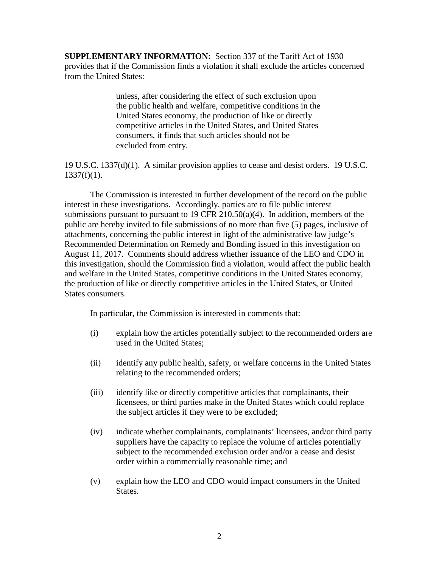**SUPPLEMENTARY INFORMATION:** Section 337 of the Tariff Act of 1930 provides that if the Commission finds a violation it shall exclude the articles concerned from the United States:

> unless, after considering the effect of such exclusion upon the public health and welfare, competitive conditions in the United States economy, the production of like or directly competitive articles in the United States, and United States consumers, it finds that such articles should not be excluded from entry.

19 U.S.C. 1337(d)(1). A similar provision applies to cease and desist orders. 19 U.S.C.  $1337(f)(1)$ .

The Commission is interested in further development of the record on the public interest in these investigations. Accordingly, parties are to file public interest submissions pursuant to pursuant to 19 CFR 210.50(a)(4). In addition, members of the public are hereby invited to file submissions of no more than five (5) pages, inclusive of attachments, concerning the public interest in light of the administrative law judge's Recommended Determination on Remedy and Bonding issued in this investigation on August 11, 2017. Comments should address whether issuance of the LEO and CDO in this investigation, should the Commission find a violation, would affect the public health and welfare in the United States, competitive conditions in the United States economy, the production of like or directly competitive articles in the United States, or United States consumers.

In particular, the Commission is interested in comments that:

- (i) explain how the articles potentially subject to the recommended orders are used in the United States;
- (ii) identify any public health, safety, or welfare concerns in the United States relating to the recommended orders;
- (iii) identify like or directly competitive articles that complainants, their licensees, or third parties make in the United States which could replace the subject articles if they were to be excluded;
- (iv) indicate whether complainants, complainants' licensees, and/or third party suppliers have the capacity to replace the volume of articles potentially subject to the recommended exclusion order and/or a cease and desist order within a commercially reasonable time; and
- (v) explain how the LEO and CDO would impact consumers in the United States.